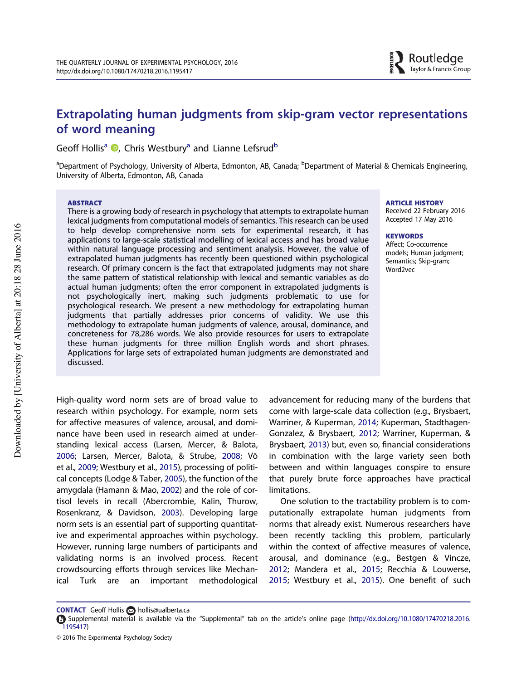# Extrapolating human judgments from skip-gram vector representations of word meaning

Geoff Hollis<sup>a</sup> <sup>D</sup>, Chris Westbury<sup>a</sup> and Lianne Lefsrud<sup>b</sup>

<sup>a</sup>Department of Psychology, University of Alberta, Edmonton, AB, Canada; <sup>b</sup>Department of Material & Chemicals Engineering, University of Alberta, Edmonton, AB, Canada

#### **ARSTRACT**

There is a growing body of research in psychology that attempts to extrapolate human lexical judgments from computational models of semantics. This research can be used to help develop comprehensive norm sets for experimental research, it has applications to large-scale statistical modelling of lexical access and has broad value within natural language processing and sentiment analysis. However, the value of extrapolated human judgments has recently been questioned within psychological research. Of primary concern is the fact that extrapolated judgments may not share the same pattern of statistical relationship with lexical and semantic variables as do actual human judgments; often the error component in extrapolated judgments is not psychologically inert, making such judgments problematic to use for psychological research. We present a new methodology for extrapolating human judgments that partially addresses prior concerns of validity. We use this methodology to extrapolate human judgments of valence, arousal, dominance, and concreteness for 78,286 words. We also provide resources for users to extrapolate these human judgments for three million English words and short phrases. Applications for large sets of extrapolated human judgments are demonstrated and discussed.

ARTICLE HISTORY Received 22 February 2016

Accepted 17 May 2016

#### **KEYWORDS**

Affect; Co-occurrence models; Human judgment; Semantics; Skip-gram; Word2vec

High-quality word norm sets are of broad value to research within psychology. For example, norm sets for affective measures of valence, arousal, and dominance have been used in research aimed at understanding lexical access (Larsen, Mercer, & Balota, 2006; Larsen, Mercer, Balota, & Strube, 2008; Võ et al., 2009; Westbury et al., 2015), processing of political concepts (Lodge & Taber, 2005), the function of the amygdala (Hamann & Mao, 2002) and the role of cortisol levels in recall (Abercrombie, Kalin, Thurow, Rosenkranz, & Davidson, 2003). Developing large norm sets is an essential part of supporting quantitative and experimental approaches within psychology. However, running large numbers of participants and validating norms is an involved process. Recent crowdsourcing efforts through services like Mechanical Turk are an important methodological advancement for reducing many of the burdens that come with large-scale data collection (e.g., Brysbaert, Warriner, & Kuperman, 2014; Kuperman, Stadthagen-Gonzalez, & Brysbaert, 2012; Warriner, Kuperman, & Brysbaert, 2013) but, even so, financial considerations in combination with the large variety seen both between and within languages conspire to ensure that purely brute force approaches have practical limitations.

One solution to the tractability problem is to computationally extrapolate human judgments from norms that already exist. Numerous researchers have been recently tackling this problem, particularly within the context of affective measures of valence, arousal, and dominance (e.g., Bestgen & Vincze, 2012; Mandera et al., 2015; Recchia & Louwerse, 2015; Westbury et al., 2015). One benefit of such

CONTACT Geoff Hollis a hollis@ualberta.ca

Supplemental material is available via the "Supplemental" tab on the article's online page (http://dx.doi.org/10.1080/17470218.2016. 1195417)

<sup>© 2016</sup> The Experimental Psychology Society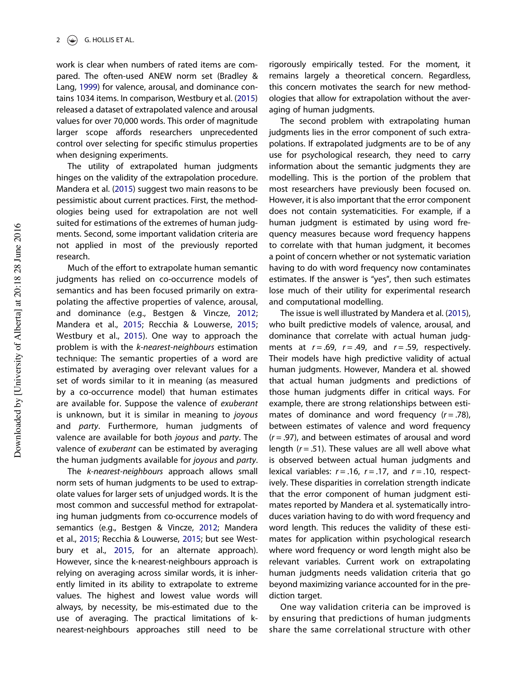work is clear when numbers of rated items are compared. The often-used ANEW norm set (Bradley & Lang, 1999) for valence, arousal, and dominance contains 1034 items. In comparison, Westbury et al. (2015) released a dataset of extrapolated valence and arousal values for over 70,000 words. This order of magnitude larger scope affords researchers unprecedented control over selecting for specific stimulus properties when designing experiments.

The utility of extrapolated human judgments hinges on the validity of the extrapolation procedure. Mandera et al. (2015) suggest two main reasons to be pessimistic about current practices. First, the methodologies being used for extrapolation are not well suited for estimations of the extremes of human judgments. Second, some important validation criteria are not applied in most of the previously reported research.

Much of the effort to extrapolate human semantic judgments has relied on co-occurrence models of semantics and has been focused primarily on extrapolating the affective properties of valence, arousal, and dominance (e.g., Bestgen & Vincze, 2012; Mandera et al., 2015; Recchia & Louwerse, 2015; Westbury et al., 2015). One way to approach the problem is with the k-nearest-neighbours estimation technique: The semantic properties of a word are estimated by averaging over relevant values for a set of words similar to it in meaning (as measured by a co-occurrence model) that human estimates are available for. Suppose the valence of exuberant is unknown, but it is similar in meaning to joyous and *party*. Furthermore, human judgments of valence are available for both joyous and party. The valence of exuberant can be estimated by averaging the human judgments available for joyous and party.

The k-nearest-neighbours approach allows small norm sets of human judgments to be used to extrapolate values for larger sets of unjudged words. It is the most common and successful method for extrapolating human judgments from co-occurrence models of semantics (e.g., Bestgen & Vincze, 2012; Mandera et al., 2015; Recchia & Louwerse, 2015; but see Westbury et al., 2015, for an alternate approach). However, since the k-nearest-neighbours approach is relying on averaging across similar words, it is inherently limited in its ability to extrapolate to extreme values. The highest and lowest value words will always, by necessity, be mis-estimated due to the use of averaging. The practical limitations of knearest-neighbours approaches still need to be

rigorously empirically tested. For the moment, it remains largely a theoretical concern. Regardless, this concern motivates the search for new methodologies that allow for extrapolation without the averaging of human judgments.

The second problem with extrapolating human judgments lies in the error component of such extrapolations. If extrapolated judgments are to be of any use for psychological research, they need to carry information about the semantic judgments they are modelling. This is the portion of the problem that most researchers have previously been focused on. However, it is also important that the error component does not contain systematicities. For example, if a human judgment is estimated by using word frequency measures because word frequency happens to correlate with that human judgment, it becomes a point of concern whether or not systematic variation having to do with word frequency now contaminates estimates. If the answer is "yes", then such estimates lose much of their utility for experimental research and computational modelling.

The issue is well illustrated by Mandera et al. (2015), who built predictive models of valence, arousal, and dominance that correlate with actual human judgments at  $r = .69$ ,  $r = .49$ , and  $r = .59$ , respectively. Their models have high predictive validity of actual human judgments. However, Mandera et al. showed that actual human judgments and predictions of those human judgments differ in critical ways. For example, there are strong relationships between estimates of dominance and word frequency  $(r=.78)$ , between estimates of valence and word frequency  $(r = .97)$ , and between estimates of arousal and word length ( $r = .51$ ). These values are all well above what is observed between actual human judgments and lexical variables:  $r = .16$ ,  $r = .17$ , and  $r = .10$ , respectively. These disparities in correlation strength indicate that the error component of human judgment estimates reported by Mandera et al. systematically introduces variation having to do with word frequency and word length. This reduces the validity of these estimates for application within psychological research where word frequency or word length might also be relevant variables. Current work on extrapolating human judgments needs validation criteria that go beyond maximizing variance accounted for in the prediction target.

One way validation criteria can be improved is by ensuring that predictions of human judgments share the same correlational structure with other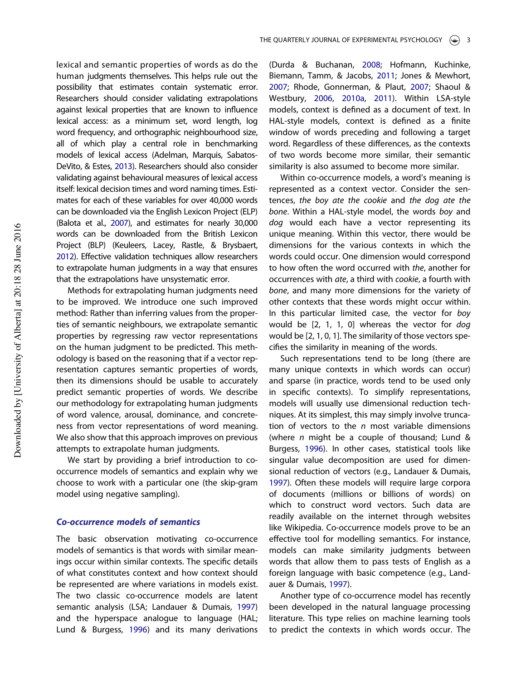lexical and semantic properties of words as do the human judgments themselves. This helps rule out the possibility that estimates contain systematic error. Researchers should consider validating extrapolations against lexical properties that are known to influence lexical access: as a minimum set, word length, log word frequency, and orthographic neighbourhood size, all of which play a central role in benchmarking models of lexical access (Adelman, Marquis, Sabatos-DeVito, & Estes, 2013). Researchers should also consider validating against behavioural measures of lexical access itself: lexical decision times and word naming times. Estimates for each of these variables for over 40,000 words can be downloaded via the English Lexicon Project (ELP) (Balota et al., 2007), and estimates for nearly 30,000 words can be downloaded from the British Lexicon Project (BLP) (Keuleers, Lacey, Rastle, & Brysbaert, 2012). Effective validation techniques allow researchers to extrapolate human judgments in a way that ensures that the extrapolations have unsystematic error.

Methods for extrapolating human judgments need to be improved. We introduce one such improved method: Rather than inferring values from the properties of semantic neighbours, we extrapolate semantic properties by regressing raw vector representations on the human judgment to be predicted. This methodology is based on the reasoning that if a vector representation captures semantic properties of words, then its dimensions should be usable to accurately predict semantic properties of words. We describe our methodology for extrapolating human judgments of word valence, arousal, dominance, and concreteness from vector representations of word meaning. We also show that this approach improves on previous attempts to extrapolate human judgments.

We start by providing a brief introduction to cooccurrence models of semantics and explain why we choose to work with a particular one (the skip-gram model using negative sampling).

# Co-occurrence models of semantics

The basic observation motivating co-occurrence models of semantics is that words with similar meanings occur within similar contexts. The specific details of what constitutes context and how context should be represented are where variations in models exist. The two classic co-occurrence models are latent semantic analysis (LSA; Landauer & Dumais, 1997) and the hyperspace analogue to language (HAL; Lund & Burgess, 1996) and its many derivations

(Durda & Buchanan, 2008; Hofmann, Kuchinke, Biemann, Tamm, & Jacobs, 2011; Jones & Mewhort, 2007; Rhode, Gonnerman, & Plaut, 2007; Shaoul & Westbury, 2006, 2010a, 2011). Within LSA-style models, context is defined as a document of text. In HAL-style models, context is defined as a finite window of words preceding and following a target word. Regardless of these differences, as the contexts of two words become more similar, their semantic similarity is also assumed to become more similar.

Within co-occurrence models, a word's meaning is represented as a context vector. Consider the sentences, the boy ate the cookie and the dog ate the bone. Within a HAL-style model, the words boy and dog would each have a vector representing its unique meaning. Within this vector, there would be dimensions for the various contexts in which the words could occur. One dimension would correspond to how often the word occurred with the, another for occurrences with ate, a third with cookie, a fourth with bone, and many more dimensions for the variety of other contexts that these words might occur within. In this particular limited case, the vector for boy would be [2, 1, 1, 0] whereas the vector for dog would be [2, 1, 0, 1]. The similarity of those vectors specifies the similarity in meaning of the words.

Such representations tend to be long (there are many unique contexts in which words can occur) and sparse (in practice, words tend to be used only in specific contexts). To simplify representations, models will usually use dimensional reduction techniques. At its simplest, this may simply involve truncation of vectors to the  $n$  most variable dimensions (where  $n$  might be a couple of thousand; Lund & Burgess, 1996). In other cases, statistical tools like singular value decomposition are used for dimensional reduction of vectors (e.g., Landauer & Dumais, 1997). Often these models will require large corpora of documents (millions or billions of words) on which to construct word vectors. Such data are readily available on the internet through websites like Wikipedia. Co-occurrence models prove to be an effective tool for modelling semantics. For instance, models can make similarity judgments between words that allow them to pass tests of English as a foreign language with basic competence (e.g., Landauer & Dumais, 1997).

Another type of co-occurrence model has recently been developed in the natural language processing literature. This type relies on machine learning tools to predict the contexts in which words occur. The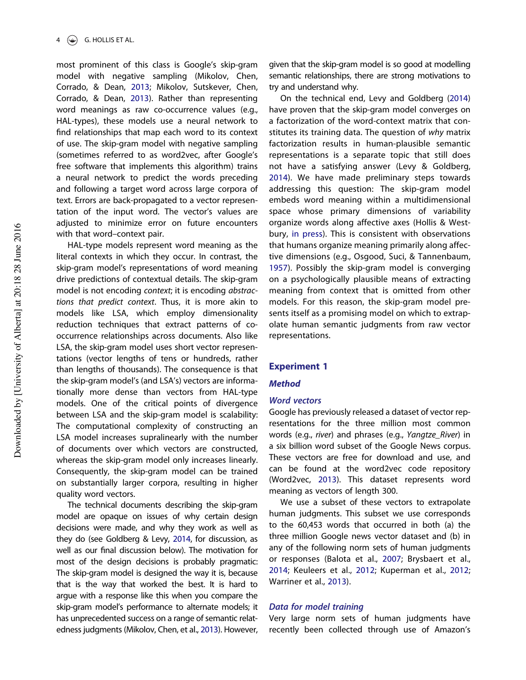most prominent of this class is Google's skip-gram model with negative sampling (Mikolov, Chen, Corrado, & Dean, 2013; Mikolov, Sutskever, Chen, Corrado, & Dean, 2013). Rather than representing word meanings as raw co-occurrence values (e.g., HAL-types), these models use a neural network to find relationships that map each word to its context of use. The skip-gram model with negative sampling (sometimes referred to as word2vec, after Google's free software that implements this algorithm) trains a neural network to predict the words preceding and following a target word across large corpora of text. Errors are back-propagated to a vector representation of the input word. The vector's values are adjusted to minimize error on future encounters with that word–context pair.

HAL-type models represent word meaning as the literal contexts in which they occur. In contrast, the skip-gram model's representations of word meaning drive predictions of contextual details. The skip-gram model is not encoding context; it is encoding abstractions that predict context. Thus, it is more akin to models like LSA, which employ dimensionality reduction techniques that extract patterns of cooccurrence relationships across documents. Also like LSA, the skip-gram model uses short vector representations (vector lengths of tens or hundreds, rather than lengths of thousands). The consequence is that the skip-gram model's (and LSA's) vectors are informationally more dense than vectors from HAL-type models. One of the critical points of divergence between LSA and the skip-gram model is scalability: The computational complexity of constructing an LSA model increases supralinearly with the number of documents over which vectors are constructed, whereas the skip-gram model only increases linearly. Consequently, the skip-gram model can be trained on substantially larger corpora, resulting in higher quality word vectors.

The technical documents describing the skip-gram model are opaque on issues of why certain design decisions were made, and why they work as well as they do (see Goldberg & Levy, 2014, for discussion, as well as our final discussion below). The motivation for most of the design decisions is probably pragmatic: The skip-gram model is designed the way it is, because that is the way that worked the best. It is hard to argue with a response like this when you compare the skip-gram model's performance to alternate models; it has unprecedented success on a range of semantic relatedness judgments (Mikolov, Chen, et al., 2013). However,

given that the skip-gram model is so good at modelling semantic relationships, there are strong motivations to try and understand why.

On the technical end, Levy and Goldberg (2014) have proven that the skip-gram model converges on a factorization of the word-context matrix that constitutes its training data. The question of why matrix factorization results in human-plausible semantic representations is a separate topic that still does not have a satisfying answer (Levy & Goldberg, 2014). We have made preliminary steps towards addressing this question: The skip-gram model embeds word meaning within a multidimensional space whose primary dimensions of variability organize words along affective axes (Hollis & Westbury, in press). This is consistent with observations that humans organize meaning primarily along affective dimensions (e.g., Osgood, Suci, & Tannenbaum, 1957). Possibly the skip-gram model is converging on a psychologically plausible means of extracting meaning from context that is omitted from other models. For this reason, the skip-gram model presents itself as a promising model on which to extrapolate human semantic judgments from raw vector representations.

## Experiment 1

#### Method

# Word vectors

Google has previously released a dataset of vector representations for the three million most common words (e.g., river) and phrases (e.g., Yangtze\_River) in a six billion word subset of the Google News corpus. These vectors are free for download and use, and can be found at the word2vec code repository (Word2vec, 2013). This dataset represents word meaning as vectors of length 300.

We use a subset of these vectors to extrapolate human judgments. This subset we use corresponds to the 60,453 words that occurred in both (a) the three million Google news vector dataset and (b) in any of the following norm sets of human judgments or responses (Balota et al., 2007; Brysbaert et al., 2014; Keuleers et al., 2012; Kuperman et al., 2012; Warriner et al., 2013).

#### Data for model training

Very large norm sets of human judgments have recently been collected through use of Amazon's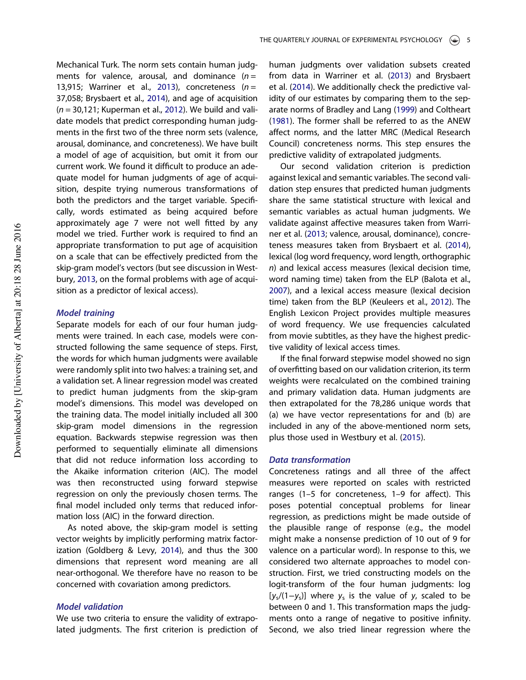Mechanical Turk. The norm sets contain human judgments for valence, arousal, and dominance  $(n =$ 13,915; Warriner et al., 2013), concreteness ( $n =$ 37,058; Brysbaert et al., 2014), and age of acquisition  $(n = 30,121;$  Kuperman et al., 2012). We build and validate models that predict corresponding human judgments in the first two of the three norm sets (valence, arousal, dominance, and concreteness). We have built a model of age of acquisition, but omit it from our current work. We found it difficult to produce an adequate model for human judgments of age of acquisition, despite trying numerous transformations of both the predictors and the target variable. Specifically, words estimated as being acquired before approximately age 7 were not well fitted by any model we tried. Further work is required to find an appropriate transformation to put age of acquisition on a scale that can be effectively predicted from the skip-gram model's vectors (but see discussion in Westbury, 2013, on the formal problems with age of acquisition as a predictor of lexical access).

#### Model training

Separate models for each of our four human judgments were trained. In each case, models were constructed following the same sequence of steps. First, the words for which human judgments were available were randomly split into two halves: a training set, and a validation set. A linear regression model was created to predict human judgments from the skip-gram model's dimensions. This model was developed on the training data. The model initially included all 300 skip-gram model dimensions in the regression equation. Backwards stepwise regression was then performed to sequentially eliminate all dimensions that did not reduce information loss according to the Akaike information criterion (AIC). The model was then reconstructed using forward stepwise regression on only the previously chosen terms. The final model included only terms that reduced information loss (AIC) in the forward direction.

As noted above, the skip-gram model is setting vector weights by implicitly performing matrix factorization (Goldberg & Levy, 2014), and thus the 300 dimensions that represent word meaning are all near-orthogonal. We therefore have no reason to be concerned with covariation among predictors.

# Model validation

We use two criteria to ensure the validity of extrapolated judgments. The first criterion is prediction of human judgments over validation subsets created from data in Warriner et al. (2013) and Brysbaert et al. (2014). We additionally check the predictive validity of our estimates by comparing them to the separate norms of Bradley and Lang (1999) and Coltheart (1981). The former shall be referred to as the ANEW affect norms, and the latter MRC (Medical Research Council) concreteness norms. This step ensures the predictive validity of extrapolated judgments.

Our second validation criterion is prediction against lexical and semantic variables. The second validation step ensures that predicted human judgments share the same statistical structure with lexical and semantic variables as actual human judgments. We validate against affective measures taken from Warriner et al. (2013; valence, arousal, dominance), concreteness measures taken from Brysbaert et al. (2014), lexical (log word frequency, word length, orthographic n) and lexical access measures (lexical decision time, word naming time) taken from the ELP (Balota et al., 2007), and a lexical access measure (lexical decision time) taken from the BLP (Keuleers et al., 2012). The English Lexicon Project provides multiple measures of word frequency. We use frequencies calculated from movie subtitles, as they have the highest predictive validity of lexical access times.

If the final forward stepwise model showed no sign of overfitting based on our validation criterion, its term weights were recalculated on the combined training and primary validation data. Human judgments are then extrapolated for the 78,286 unique words that (a) we have vector representations for and (b) are included in any of the above-mentioned norm sets, plus those used in Westbury et al. (2015).

#### Data transformation

Concreteness ratings and all three of the affect measures were reported on scales with restricted ranges (1–5 for concreteness, 1–9 for affect). This poses potential conceptual problems for linear regression, as predictions might be made outside of the plausible range of response (e.g., the model might make a nonsense prediction of 10 out of 9 for valence on a particular word). In response to this, we considered two alternate approaches to model construction. First, we tried constructing models on the logit-transform of the four human judgments: log  $[y<sub>s</sub>/(1-y<sub>s</sub>)]$  where y<sub>s</sub> is the value of y, scaled to be between 0 and 1. This transformation maps the judgments onto a range of negative to positive infinity. Second, we also tried linear regression where the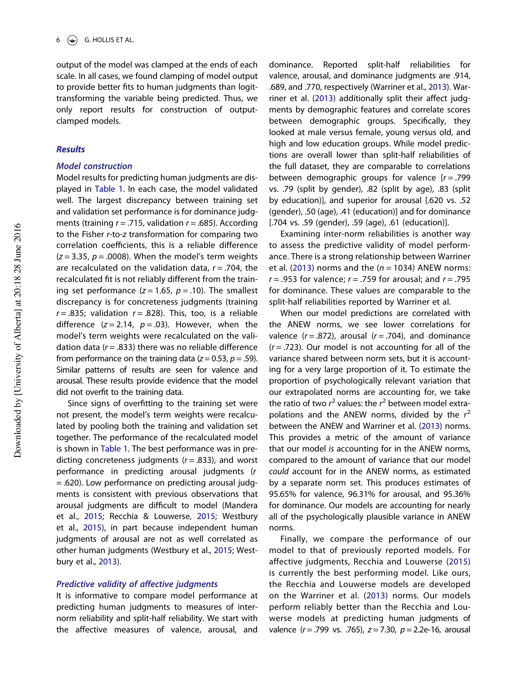output of the model was clamped at the ends of each scale. In all cases, we found clamping of model output to provide better fits to human judgments than logittransforming the variable being predicted. Thus, we only report results for construction of outputclamped models.

#### Results

# Model construction

Model results for predicting human judgments are displayed in Table 1. In each case, the model validated well. The largest discrepancy between training set and validation set performance is for dominance judgments (training  $r = .715$ , validation  $r = .685$ ). According to the Fisher r-to-z transformation for comparing two correlation coefficients, this is a reliable difference  $(z = 3.35, p = .0008)$ . When the model's term weights are recalculated on the validation data,  $r = .704$ , the recalculated fit is not reliably different from the training set performance ( $z = 1.65$ ,  $p = .10$ ). The smallest discrepancy is for concreteness judgments (training  $r = .835$ ; validation  $r = .828$ ). This, too, is a reliable difference  $(z = 2.14, p = .03)$ . However, when the model's term weights were recalculated on the validation data ( $r = .833$ ) there was no reliable difference from performance on the training data ( $z = 0.53$ ,  $p = .59$ ). Similar patterns of results are seen for valence and arousal. These results provide evidence that the model did not overfit to the training data.

Since signs of overfitting to the training set were not present, the model's term weights were recalculated by pooling both the training and validation set together. The performance of the recalculated model is shown in Table 1. The best performance was in predicting concreteness judgments  $(r = .833)$ , and worst performance in predicting arousal judgments (r = .620). Low performance on predicting arousal judgments is consistent with previous observations that arousal judgments are difficult to model (Mandera et al., 2015; Recchia & Louwerse, 2015; Westbury et al., 2015), in part because independent human judgments of arousal are not as well correlated as other human judgments (Westbury et al., 2015; Westbury et al., 2013).

#### Predictive validity of affective judgments

It is informative to compare model performance at predicting human judgments to measures of internorm reliability and split-half reliability. We start with the affective measures of valence, arousal, and

dominance. Reported split-half reliabilities for valence, arousal, and dominance judgments are .914, .689, and .770, respectively (Warriner et al., 2013). Warriner et al. (2013) additionally split their affect judgments by demographic features and correlate scores between demographic groups. Specifically, they looked at male versus female, young versus old, and high and low education groups. While model predictions are overall lower than split-half reliabilities of the full dataset, they are comparable to correlations between demographic groups for valence  $[r=.799]$ vs. .79 (split by gender), .82 (split by age), .83 (split by education)], and superior for arousal [.620 vs. .52 (gender), .50 (age), .41 (education)] and for dominance [.704 vs. .59 (gender), .59 (age), .61 (education)].

Examining inter-norm reliabilities is another way to assess the predictive validity of model performance. There is a strong relationship between Warriner et al. (2013) norms and the ( $n = 1034$ ) ANEW norms:  $r = .953$  for valence;  $r = .759$  for arousal; and  $r = .795$ for dominance. These values are comparable to the split-half reliabilities reported by Warriner et al.

When our model predictions are correlated with the ANEW norms, we see lower correlations for valence  $(r=.872)$ , arousal  $(r=.704)$ , and dominance  $(r = .723)$ . Our model is not accounting for all of the variance shared between norm sets, but it is accounting for a very large proportion of it. To estimate the proportion of psychologically relevant variation that our extrapolated norms are accounting for, we take the ratio of two  $r^2$  values: the  $r^2$  between model extrapolations and the ANEW norms, divided by the  $r^2$ between the ANEW and Warriner et al. (2013) norms. This provides a metric of the amount of variance that our model is accounting for in the ANEW norms, compared to the amount of variance that our model could account for in the ANEW norms, as estimated by a separate norm set. This produces estimates of 95.65% for valence, 96.31% for arousal, and 95.36% for dominance. Our models are accounting for nearly all of the psychologically plausible variance in ANEW norms.

Finally, we compare the performance of our model to that of previously reported models. For affective judgments, Recchia and Louwerse (2015) is currently the best performing model. Like ours, the Recchia and Louwerse models are developed on the Warriner et al. (2013) norms. Our models perform reliably better than the Recchia and Louwerse models at predicting human judgments of valence  $(r = .799 \text{ vs. } .765)$ ,  $z = 7.30$ ,  $p = 2.2e-16$ , arousal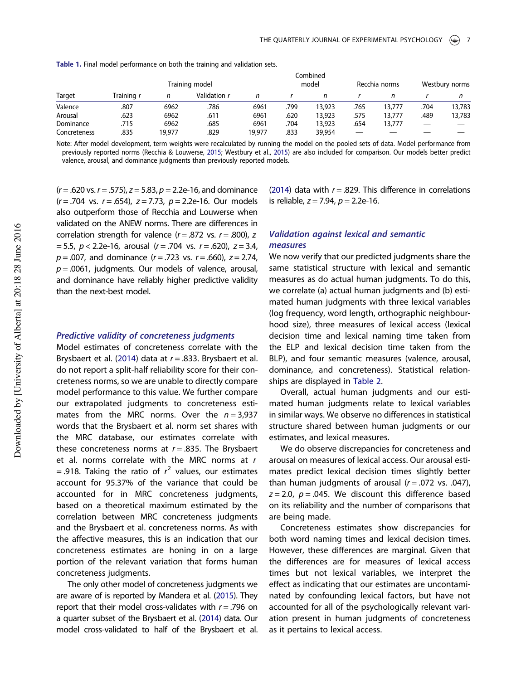| Target       |                   | Combined<br>model |                     | Recchia norms |      | Westbury norms |      |        |      |        |
|--------------|-------------------|-------------------|---------------------|---------------|------|----------------|------|--------|------|--------|
|              | Training <i>i</i> | n                 | Validation <i>r</i> | n             |      |                |      |        |      |        |
| Valence      | .807              | 6962              | .786                | 6961          | .799 | 13,923         | .765 | 13,777 | .704 | 13,783 |
| Arousal      | .623              | 6962              | .611                | 6961          | .620 | 13,923         | .575 | 13,777 | .489 | 13,783 |
| Dominance    | .715              | 6962              | .685                | 6961          | .704 | 13,923         | .654 | 13,777 |      |        |
| Concreteness | .835              | 19.977            | .829                | 19,977        | .833 | 39,954         |      |        |      |        |

Table 1. Final model performance on both the training and validation sets.

Note: After model development, term weights were recalculated by running the model on the pooled sets of data. Model performance from previously reported norms (Recchia & Louwerse, 2015; Westbury et al., 2015) are also included for comparison. Our models better predict valence, arousal, and dominance judgments than previously reported models.

 $(r = .620 \text{ vs. } r = .575)$ ,  $z = 5.83$ ,  $p = 2.2e-16$ , and dominance  $(r = .704 \text{ vs. } r = .654)$ ,  $z = 7.73$ ,  $p = 2.2e-16$ . Our models also outperform those of Recchia and Louwerse when validated on the ANEW norms. There are differences in correlation strength for valence  $(r = .872 \text{ vs. } r = .800)$ , z  $= 5.5$ ,  $p < 2.2e-16$ , arousal ( $r = .704$  vs.  $r = .620$ ),  $z = 3.4$ ,  $p = .007$ , and dominance  $(r = .723 \text{ vs. } r = .660)$ ,  $z = 2.74$ ,  $p = 0.0061$ , judgments. Our models of valence, arousal, and dominance have reliably higher predictive validity than the next-best model.

#### Predictive validity of concreteness judgments

Model estimates of concreteness correlate with the Brysbaert et al. (2014) data at  $r = .833$ . Brysbaert et al. do not report a split-half reliability score for their concreteness norms, so we are unable to directly compare model performance to this value. We further compare our extrapolated judgments to concreteness estimates from the MRC norms. Over the  $n = 3,937$ words that the Brysbaert et al. norm set shares with the MRC database, our estimates correlate with these concreteness norms at  $r = .835$ . The Brysbaert et al. norms correlate with the MRC norms at  $r$ = .918. Taking the ratio of  $r^2$  values, our estimates account for 95.37% of the variance that could be accounted for in MRC concreteness judgments, based on a theoretical maximum estimated by the correlation between MRC concreteness judgments and the Brysbaert et al. concreteness norms. As with the affective measures, this is an indication that our concreteness estimates are honing in on a large portion of the relevant variation that forms human concreteness judgments.

The only other model of concreteness judgments we are aware of is reported by Mandera et al. (2015). They report that their model cross-validates with  $r = .796$  on a quarter subset of the Brysbaert et al. (2014) data. Our model cross-validated to half of the Brysbaert et al. (2014) data with  $r = .829$ . This difference in correlations is reliable,  $z = 7.94$ ,  $p = 2.2e-16$ .

# Validation against lexical and semantic measures

We now verify that our predicted judgments share the same statistical structure with lexical and semantic measures as do actual human judgments. To do this, we correlate (a) actual human judgments and (b) estimated human judgments with three lexical variables (log frequency, word length, orthographic neighbourhood size), three measures of lexical access (lexical decision time and lexical naming time taken from the ELP and lexical decision time taken from the BLP), and four semantic measures (valence, arousal, dominance, and concreteness). Statistical relationships are displayed in Table 2.

Overall, actual human judgments and our estimated human judgments relate to lexical variables in similar ways. We observe no differences in statistical structure shared between human judgments or our estimates, and lexical measures.

We do observe discrepancies for concreteness and arousal on measures of lexical access. Our arousal estimates predict lexical decision times slightly better than human judgments of arousal  $(r=.072 \text{ vs. } .047)$ ,  $z = 2.0$ ,  $p = .045$ . We discount this difference based on its reliability and the number of comparisons that are being made.

Concreteness estimates show discrepancies for both word naming times and lexical decision times. However, these differences are marginal. Given that the differences are for measures of lexical access times but not lexical variables, we interpret the effect as indicating that our estimates are uncontaminated by confounding lexical factors, but have not accounted for all of the psychologically relevant variation present in human judgments of concreteness as it pertains to lexical access.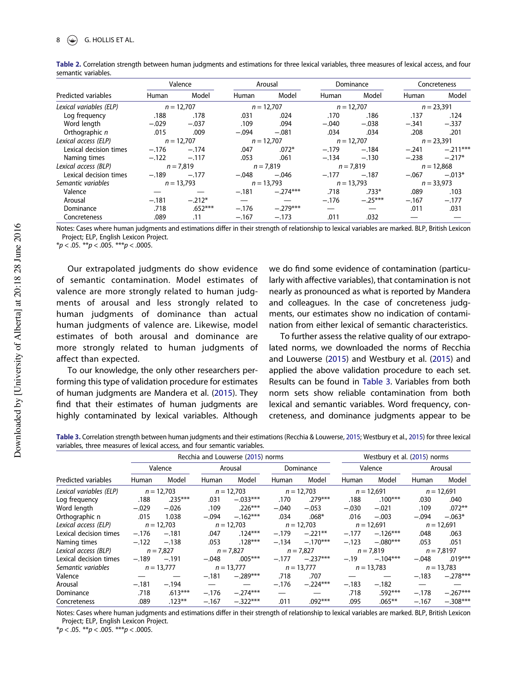|                         | Valence |              | Arousal |              |              | Dominance    |         | Concreteness    |  |
|-------------------------|---------|--------------|---------|--------------|--------------|--------------|---------|-----------------|--|
| Predicted variables     | Human   | Model        | Human   | Model        | Human        | Model        | Human   | Model           |  |
| Lexical variables (ELP) |         | $n = 12.707$ |         | $n = 12.707$ |              | $n = 12.707$ |         | $n = 23.391$    |  |
| Log frequency           | .188    | .178         | .031    | .024         | .170         | .186         | .137    | .124            |  |
| Word lenath             | $-.029$ | $-.037$      | .109    | .094         | $-.040$      | $-.038$      | $-.341$ | $-.337$         |  |
| Orthographic n          | .015    | .009         | $-.094$ | $-.081$      | .034         | .034         | .208    | .201            |  |
| Lexical access (ELP)    |         | $n = 12,707$ |         | $n = 12,707$ | $n = 12,707$ |              |         | $n = 23,391$    |  |
| Lexical decision times  | $-.176$ | $-.174$      | .047    | $.072*$      | $-.179$      | $-.184$      | $-.241$ | $-.211***$      |  |
| Naming times            | $-.122$ | $-.117$      | .053    | .061         | $-.134$      | $-.130$      |         | $-.238 - .217*$ |  |
| Lexical access (BLP)    |         | $n = 7,819$  |         | $n = 7,819$  |              | $n = 7,819$  |         | $n = 12,868$    |  |
| Lexical decision times  | $-.189$ | $-.177$      | $-.048$ | $-.046$      | $-.177$      | $-.187$      | $-.067$ | $-.013*$        |  |
| Semantic variables      |         | $n = 13,793$ |         | $n = 13.793$ |              | $n = 13.793$ |         | $n = 33,973$    |  |
| Valence                 |         |              | $-.181$ | $-.274***$   | .718         | $.733*$      | .089    | .103            |  |
| Arousal                 | $-.181$ | $-.212*$     |         |              | $-.176$      | $-.25***$    | $-.167$ | $-.177$         |  |
| Dominance               | .718    | $.652***$    | $-.176$ | $-.279***$   |              |              | .011    | .031            |  |
| Concreteness            | .089    | .11          | $-.167$ | $-.173$      | .011         | .032         |         |                 |  |

Table 2. Correlation strength between human judgments and estimations for three lexical variables, three measures of lexical access, and four semantic variables.

Notes: Cases where human judgments and estimations differ in their strength of relationship to lexical variables are marked. BLP, British Lexicon Project; ELP, English Lexicon Project.

\* $p < .05$ . \*\* $p < .005$ . \*\*\* $p < .0005$ .

Our extrapolated judgments do show evidence of semantic contamination. Model estimates of valence are more strongly related to human judgments of arousal and less strongly related to human judgments of dominance than actual human judgments of valence are. Likewise, model estimates of both arousal and dominance are more strongly related to human judgments of affect than expected.

To our knowledge, the only other researchers performing this type of validation procedure for estimates of human judgments are Mandera et al. (2015). They find that their estimates of human judgments are highly contaminated by lexical variables. Although

we do find some evidence of contamination (particularly with affective variables), that contamination is not nearly as pronounced as what is reported by Mandera and colleagues. In the case of concreteness judgments, our estimates show no indication of contamination from either lexical of semantic characteristics.

To further assess the relative quality of our extrapolated norms, we downloaded the norms of Recchia and Louwerse (2015) and Westbury et al. (2015) and applied the above validation procedure to each set. Results can be found in Table 3. Variables from both norm sets show reliable contamination from both lexical and semantic variables. Word frequency, concreteness, and dominance judgments appear to be

Table 3. Correlation strength between human judgments and their estimations (Recchia & Louwerse, 2015; Westbury et al., 2015) for three lexical variables, three measures of lexical access, and four semantic variables.

|                         | Recchia and Louwerse (2015) norms |              |         |              |           |              |              | Westbury et al. (2015) norms |              |              |  |
|-------------------------|-----------------------------------|--------------|---------|--------------|-----------|--------------|--------------|------------------------------|--------------|--------------|--|
|                         | Valence                           |              | Arousal |              | Dominance |              | Valence      |                              | Arousal      |              |  |
| Predicted variables     | Human                             | Model        | Human   | Model        | Human     | Model        | Human        | Model                        | Human        | Model        |  |
| Lexical variables (ELP) |                                   | $n = 12.703$ |         | $n = 12,703$ |           | $n = 12,703$ |              | $n = 12,691$                 | $n = 12,691$ |              |  |
| Log frequency           | .188                              | $.235***$    | .031    | $-.033***$   | .170      | .279***      | .188         | $.100***$                    | .030         | .040         |  |
| Word length             | $-.029$                           | $-.026$      | .109    | $.226***$    | $-.040$   | $-.053$      | $-.030$      | $-.021$                      | .109         | $.072**$     |  |
| Orthographic n          | .015                              | 1.038        | $-.094$ | $-.162***$   | .034      | $.068*$      | .016         | $-.003$                      | $-.094$      | $-.063*$     |  |
| Lexical access (ELP)    |                                   | $n = 12.703$ |         | $n = 12,703$ |           | $n = 12.703$ |              | $n = 12.691$                 |              | $n = 12,691$ |  |
| Lexical decision times  | $-.176$                           | $-.181$      | .047    | $.124***$    | $-.179$   | $-.221***$   | $-.177$      | $-.126***$                   | .048         | .063         |  |
| Naming times            | $-.122$                           | $-.138$      | .053    | $.128***$    | $-.134$   | $-.170***$   | $-.123$      | $-.080***$                   | .053         | .051         |  |
| Lexical access (BLP)    |                                   | $n = 7.827$  |         | $n = 7.827$  |           | $n = 7,827$  |              | $n = 7,819$                  |              | $n = 7,8197$ |  |
| Lexical decision times  | $-.189$                           | $-.191$      | $-.048$ | $.005***$    | $-.177$   | $-.237***$   | $-.19$       | $-.104***$                   | $-.048$      | $.019***$    |  |
| Semantic variables      |                                   | $n = 13,777$ |         | $n = 13,777$ |           | $n = 13.777$ | $n = 13,783$ |                              |              | $n = 13,783$ |  |
| Valence                 |                                   |              | $-.181$ | $-.289***$   | .718      | .707         |              |                              | $-.183$      | $-.278***$   |  |
| Arousal                 | $-.181$                           | $-.194$      |         |              | $-.176$   | $-.224***$   | $-.183$      | $-.182$                      |              |              |  |
| Dominance               | .718                              | $.613***$    | $-.176$ | $-.274***$   |           |              | .718         | $.592***$                    | $-.178$      | $-.267***$   |  |
| Concreteness            | .089                              | $.123***$    | $-.167$ | $-.322***$   | .011      | $.092***$    | .095         | $.065***$                    | $-.167$      | $-.308***$   |  |

Notes: Cases where human judgments and estimations differ in their strength of relationship to lexical variables are marked. BLP, British Lexicon Project; ELP, English Lexicon Project.

 $**p* < .05.$   $**p* < .005.$   $**p* < .0005.$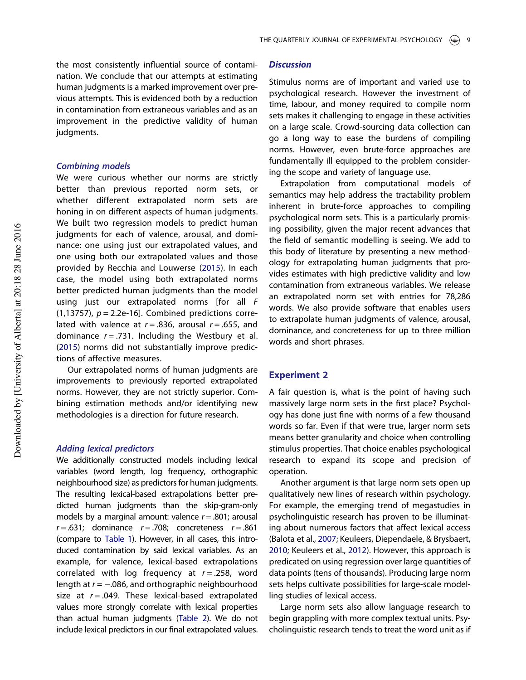the most consistently influential source of contamination. We conclude that our attempts at estimating human judgments is a marked improvement over previous attempts. This is evidenced both by a reduction in contamination from extraneous variables and as an improvement in the predictive validity of human judgments.

# Combining models

We were curious whether our norms are strictly better than previous reported norm sets, or whether different extrapolated norm sets are honing in on different aspects of human judgments. We built two regression models to predict human judgments for each of valence, arousal, and dominance: one using just our extrapolated values, and one using both our extrapolated values and those provided by Recchia and Louwerse (2015). In each case, the model using both extrapolated norms better predicted human judgments than the model using just our extrapolated norms [for all F (1,13757),  $p = 2.2e-16$ ]. Combined predictions correlated with valence at  $r = .836$ , arousal  $r = .655$ , and dominance  $r = .731$ . Including the Westbury et al. (2015) norms did not substantially improve predictions of affective measures.

Our extrapolated norms of human judgments are improvements to previously reported extrapolated norms. However, they are not strictly superior. Combining estimation methods and/or identifying new methodologies is a direction for future research.

#### Adding lexical predictors

We additionally constructed models including lexical variables (word length, log frequency, orthographic neighbourhood size) as predictors for human judgments. The resulting lexical-based extrapolations better predicted human judgments than the skip-gram-only models by a marginal amount: valence  $r = .801$ ; arousal  $r = .631$ ; dominance  $r = .708$ ; concreteness  $r = .861$ (compare to Table 1). However, in all cases, this introduced contamination by said lexical variables. As an example, for valence, lexical-based extrapolations correlated with log frequency at  $r = .258$ , word length at  $r = -.086$ , and orthographic neighbourhood size at  $r = .049$ . These lexical-based extrapolated values more strongly correlate with lexical properties than actual human judgments (Table 2). We do not include lexical predictors in our final extrapolated values.

# **Discussion**

Stimulus norms are of important and varied use to psychological research. However the investment of time, labour, and money required to compile norm sets makes it challenging to engage in these activities on a large scale. Crowd-sourcing data collection can go a long way to ease the burdens of compiling norms. However, even brute-force approaches are fundamentally ill equipped to the problem considering the scope and variety of language use.

Extrapolation from computational models of semantics may help address the tractability problem inherent in brute-force approaches to compiling psychological norm sets. This is a particularly promising possibility, given the major recent advances that the field of semantic modelling is seeing. We add to this body of literature by presenting a new methodology for extrapolating human judgments that provides estimates with high predictive validity and low contamination from extraneous variables. We release an extrapolated norm set with entries for 78,286 words. We also provide software that enables users to extrapolate human judgments of valence, arousal, dominance, and concreteness for up to three million words and short phrases.

# Experiment 2

A fair question is, what is the point of having such massively large norm sets in the first place? Psychology has done just fine with norms of a few thousand words so far. Even if that were true, larger norm sets means better granularity and choice when controlling stimulus properties. That choice enables psychological research to expand its scope and precision of operation.

Another argument is that large norm sets open up qualitatively new lines of research within psychology. For example, the emerging trend of megastudies in psycholinguistic research has proven to be illuminating about numerous factors that affect lexical access (Balota et al., 2007; Keuleers, Diependaele, & Brysbaert, 2010; Keuleers et al., 2012). However, this approach is predicated on using regression over large quantities of data points (tens of thousands). Producing large norm sets helps cultivate possibilities for large-scale modelling studies of lexical access.

Large norm sets also allow language research to begin grappling with more complex textual units. Psycholinguistic research tends to treat the word unit as if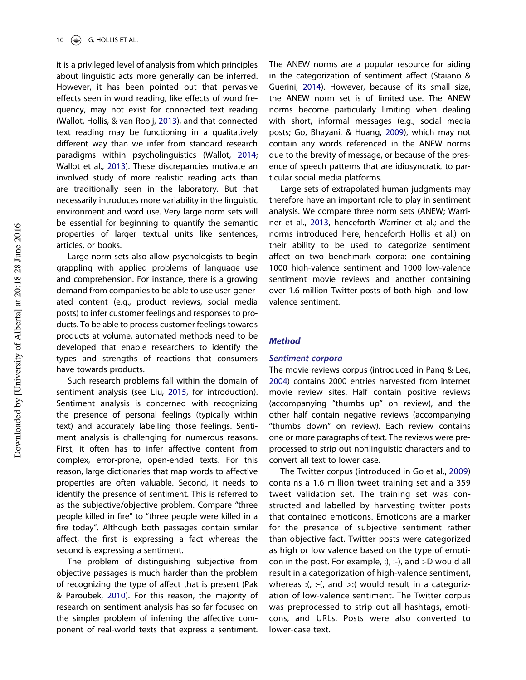it is a privileged level of analysis from which principles about linguistic acts more generally can be inferred. However, it has been pointed out that pervasive effects seen in word reading, like effects of word frequency, may not exist for connected text reading (Wallot, Hollis, & van Rooij, 2013), and that connected text reading may be functioning in a qualitatively different way than we infer from standard research paradigms within psycholinguistics (Wallot, 2014; Wallot et al., 2013). These discrepancies motivate an involved study of more realistic reading acts than are traditionally seen in the laboratory. But that necessarily introduces more variability in the linguistic environment and word use. Very large norm sets will be essential for beginning to quantify the semantic properties of larger textual units like sentences, articles, or books.

Large norm sets also allow psychologists to begin grappling with applied problems of language use and comprehension. For instance, there is a growing demand from companies to be able to use user-generated content (e.g., product reviews, social media posts) to infer customer feelings and responses to products. To be able to process customer feelings towards products at volume, automated methods need to be developed that enable researchers to identify the types and strengths of reactions that consumers have towards products.

Such research problems fall within the domain of sentiment analysis (see Liu, 2015, for introduction). Sentiment analysis is concerned with recognizing the presence of personal feelings (typically within text) and accurately labelling those feelings. Sentiment analysis is challenging for numerous reasons. First, it often has to infer affective content from complex, error-prone, open-ended texts. For this reason, large dictionaries that map words to affective properties are often valuable. Second, it needs to identify the presence of sentiment. This is referred to as the subjective/objective problem. Compare "three people killed in fire" to "three people were killed in a fire today". Although both passages contain similar affect, the first is expressing a fact whereas the second is expressing a sentiment.

The problem of distinguishing subjective from objective passages is much harder than the problem of recognizing the type of affect that is present (Pak & Paroubek, 2010). For this reason, the majority of research on sentiment analysis has so far focused on the simpler problem of inferring the affective component of real-world texts that express a sentiment.

The ANEW norms are a popular resource for aiding in the categorization of sentiment affect (Staiano & Guerini, 2014). However, because of its small size, the ANEW norm set is of limited use. The ANEW norms become particularly limiting when dealing with short, informal messages (e.g., social media posts; Go, Bhayani, & Huang, 2009), which may not contain any words referenced in the ANEW norms due to the brevity of message, or because of the presence of speech patterns that are idiosyncratic to particular social media platforms.

Large sets of extrapolated human judgments may therefore have an important role to play in sentiment analysis. We compare three norm sets (ANEW; Warriner et al., 2013, henceforth Warriner et al.; and the norms introduced here, henceforth Hollis et al.) on their ability to be used to categorize sentiment affect on two benchmark corpora: one containing 1000 high-valence sentiment and 1000 low-valence sentiment movie reviews and another containing over 1.6 million Twitter posts of both high- and lowvalence sentiment.

#### **Method**

#### Sentiment corpora

The movie reviews corpus (introduced in Pang & Lee, 2004) contains 2000 entries harvested from internet movie review sites. Half contain positive reviews (accompanying "thumbs up" on review), and the other half contain negative reviews (accompanying "thumbs down" on review). Each review contains one or more paragraphs of text. The reviews were preprocessed to strip out nonlinguistic characters and to convert all text to lower case.

The Twitter corpus (introduced in Go et al., 2009) contains a 1.6 million tweet training set and a 359 tweet validation set. The training set was constructed and labelled by harvesting twitter posts that contained emoticons. Emoticons are a marker for the presence of subjective sentiment rather than objective fact. Twitter posts were categorized as high or low valence based on the type of emoticon in the post. For example, :), :-), and :-D would all result in a categorization of high-valence sentiment, whereas :(, :-(, and >:( would result in a categorization of low-valence sentiment. The Twitter corpus was preprocessed to strip out all hashtags, emoticons, and URLs. Posts were also converted to lower-case text.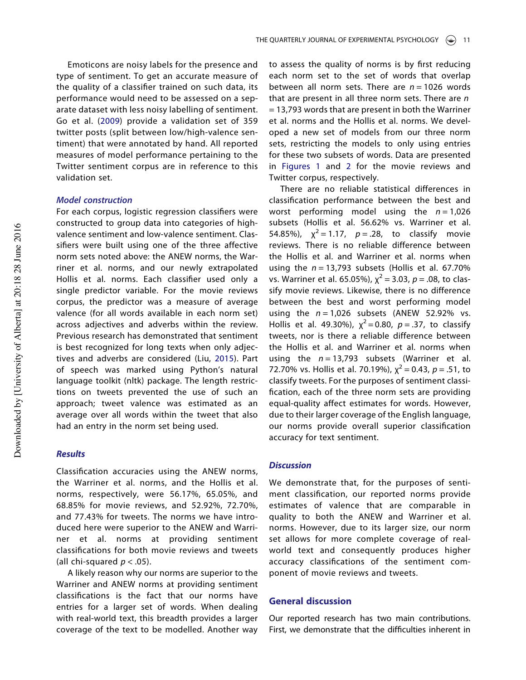Emoticons are noisy labels for the presence and type of sentiment. To get an accurate measure of the quality of a classifier trained on such data, its performance would need to be assessed on a separate dataset with less noisy labelling of sentiment. Go et al. (2009) provide a validation set of 359 twitter posts (split between low/high-valence sentiment) that were annotated by hand. All reported measures of model performance pertaining to the Twitter sentiment corpus are in reference to this validation set.

# Model construction

For each corpus, logistic regression classifiers were constructed to group data into categories of highvalence sentiment and low-valence sentiment. Classifiers were built using one of the three affective norm sets noted above: the ANEW norms, the Warriner et al. norms, and our newly extrapolated Hollis et al. norms. Each classifier used only a single predictor variable. For the movie reviews corpus, the predictor was a measure of average valence (for all words available in each norm set) across adjectives and adverbs within the review. Previous research has demonstrated that sentiment is best recognized for long texts when only adjectives and adverbs are considered (Liu, 2015). Part of speech was marked using Python's natural language toolkit (nltk) package. The length restrictions on tweets prevented the use of such an approach; tweet valence was estimated as an average over all words within the tweet that also had an entry in the norm set being used.

# **Results**

Classification accuracies using the ANEW norms, the Warriner et al. norms, and the Hollis et al. norms, respectively, were 56.17%, 65.05%, and 68.85% for movie reviews, and 52.92%, 72.70%, and 77.43% for tweets. The norms we have introduced here were superior to the ANEW and Warriner et al. norms at providing sentiment classifications for both movie reviews and tweets (all chi-squared  $p < .05$ ).

A likely reason why our norms are superior to the Warriner and ANEW norms at providing sentiment classifications is the fact that our norms have entries for a larger set of words. When dealing with real-world text, this breadth provides a larger coverage of the text to be modelled. Another way to assess the quality of norms is by first reducing each norm set to the set of words that overlap between all norm sets. There are  $n = 1026$  words that are present in all three norm sets. There are  $n$ = 13,793 words that are present in both the Warriner et al. norms and the Hollis et al. norms. We developed a new set of models from our three norm sets, restricting the models to only using entries for these two subsets of words. Data are presented in Figures 1 and 2 for the movie reviews and Twitter corpus, respectively.

There are no reliable statistical differences in classification performance between the best and worst performing model using the  $n = 1,026$ subsets (Hollis et al. 56.62% vs. Warriner et al. 54.85%),  $\chi^2 = 1.17$ ,  $p = .28$ , to classify movie reviews. There is no reliable difference between the Hollis et al. and Warriner et al. norms when using the  $n = 13,793$  subsets (Hollis et al. 67.70%) vs. Warriner et al. 65.05%),  $\chi^2$  = 3.03,  $p$  = .08, to classify movie reviews. Likewise, there is no difference between the best and worst performing model using the  $n = 1,026$  subsets (ANEW 52.92% vs. Hollis et al. 49.30%),  $\chi^2$  = 0.80,  $p = .37$ , to classify tweets, nor is there a reliable difference between the Hollis et al. and Warriner et al. norms when using the  $n = 13,793$  subsets (Warriner et al. 72.70% vs. Hollis et al. 70.19%),  $\chi^2$  = 0.43, p = .51, to classify tweets. For the purposes of sentiment classification, each of the three norm sets are providing equal-quality affect estimates for words. However, due to their larger coverage of the English language, our norms provide overall superior classification accuracy for text sentiment.

#### **Discussion**

We demonstrate that, for the purposes of sentiment classification, our reported norms provide estimates of valence that are comparable in quality to both the ANEW and Warriner et al. norms. However, due to its larger size, our norm set allows for more complete coverage of realworld text and consequently produces higher accuracy classifications of the sentiment component of movie reviews and tweets.

# General discussion

Our reported research has two main contributions. First, we demonstrate that the difficulties inherent in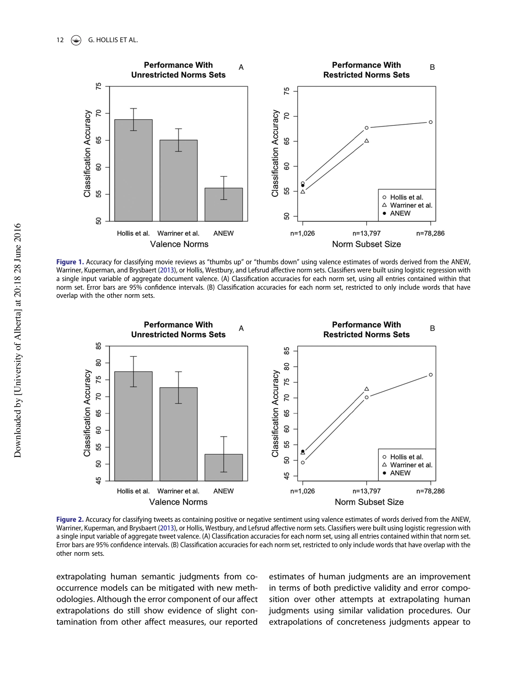

Figure 1. Accuracy for classifying movie reviews as "thumbs up" or "thumbs down" using valence estimates of words derived from the ANEW, Warriner, Kuperman, and Brysbaert (2013), or Hollis, Westbury, and Lefsrud affective norm sets. Classifiers were built using logistic regression with a single input variable of aggregate document valence. (A) Classification accuracies for each norm set, using all entries contained within that norm set. Error bars are 95% confidence intervals. (B) Classification accuracies for each norm set, restricted to only include words that have overlap with the other norm sets.



Figure 2. Accuracy for classifying tweets as containing positive or negative sentiment using valence estimates of words derived from the ANEW, Warriner, Kuperman, and Brysbaert (2013), or Hollis, Westbury, and Lefsrud affective norm sets. Classifiers were built using logistic regression with a single input variable of aggregate tweet valence. (A) Classification accuracies for each norm set, using all entries contained within that norm set. Error bars are 95% confidence intervals. (B) Classification accuracies for each norm set, restricted to only include words that have overlap with the other norm sets.

extrapolating human semantic judgments from cooccurrence models can be mitigated with new methodologies. Although the error component of our affect extrapolations do still show evidence of slight contamination from other affect measures, our reported

estimates of human judgments are an improvement in terms of both predictive validity and error composition over other attempts at extrapolating human judgments using similar validation procedures. Our extrapolations of concreteness judgments appear to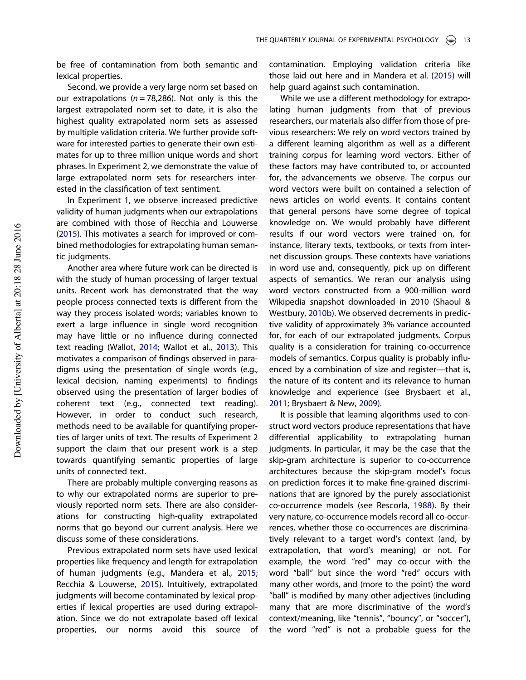be free of contamination from both semantic and lexical properties.

Second, we provide a very large norm set based on our extrapolations ( $n = 78,286$ ). Not only is this the largest extrapolated norm set to date, it is also the highest quality extrapolated norm sets as assessed by multiple validation criteria. We further provide software for interested parties to generate their own estimates for up to three million unique words and short phrases. In Experiment 2, we demonstrate the value of large extrapolated norm sets for researchers interested in the classification of text sentiment.

In Experiment 1, we observe increased predictive validity of human judgments when our extrapolations are combined with those of Recchia and Louwerse (2015). This motivates a search for improved or combined methodologies for extrapolating human semantic judgments.

Another area where future work can be directed is with the study of human processing of larger textual units. Recent work has demonstrated that the way people process connected texts is different from the way they process isolated words; variables known to exert a large influence in single word recognition may have little or no influence during connected text reading (Wallot, 2014; Wallot et al., 2013). This motivates a comparison of findings observed in paradigms using the presentation of single words (e.g., lexical decision, naming experiments) to findings observed using the presentation of larger bodies of coherent text (e.g., connected text reading). However, in order to conduct such research, methods need to be available for quantifying properties of larger units of text. The results of Experiment 2 support the claim that our present work is a step towards quantifying semantic properties of large units of connected text.

There are probably multiple converging reasons as to why our extrapolated norms are superior to previously reported norm sets. There are also considerations for constructing high-quality extrapolated norms that go beyond our current analysis. Here we discuss some of these considerations.

Previous extrapolated norm sets have used lexical properties like frequency and length for extrapolation of human judgments (e.g., Mandera et al., 2015; Recchia & Louwerse, 2015). Intuitively, extrapolated judgments will become contaminated by lexical properties if lexical properties are used during extrapolation. Since we do not extrapolate based off lexical properties, our norms avoid this source of contamination. Employing validation criteria like those laid out here and in Mandera et al. (2015) will help guard against such contamination.

While we use a different methodology for extrapolating human judgments from that of previous researchers, our materials also differ from those of previous researchers: We rely on word vectors trained by a different learning algorithm as well as a different training corpus for learning word vectors. Either of these factors may have contributed to, or accounted for, the advancements we observe. The corpus our word vectors were built on contained a selection of news articles on world events. It contains content that general persons have some degree of topical knowledge on. We would probably have different results if our word vectors were trained on, for instance, literary texts, textbooks, or texts from internet discussion groups. These contexts have variations in word use and, consequently, pick up on different aspects of semantics. We reran our analysis using word vectors constructed from a 900-million word Wikipedia snapshot downloaded in 2010 (Shaoul & Westbury, 2010b). We observed decrements in predictive validity of approximately 3% variance accounted for, for each of our extrapolated judgments. Corpus quality is a consideration for training co-occurrence models of semantics. Corpus quality is probably influenced by a combination of size and register—that is, the nature of its content and its relevance to human knowledge and experience (see Brysbaert et al., 2011; Brysbaert & New, 2009).

It is possible that learning algorithms used to construct word vectors produce representations that have differential applicability to extrapolating human judgments. In particular, it may be the case that the skip-gram architecture is superior to co-occurrence architectures because the skip-gram model's focus on prediction forces it to make fine-grained discriminations that are ignored by the purely associationist co-occurrence models (see Rescorla, 1988). By their very nature, co-occurrence models record all co-occurrences, whether those co-occurrences are discriminatively relevant to a target word's context (and, by extrapolation, that word's meaning) or not. For example, the word "red" may co-occur with the word "ball" but since the word "red" occurs with many other words, and (more to the point) the word "ball" is modified by many other adjectives (including many that are more discriminative of the word's context/meaning, like "tennis", "bouncy", or "soccer"), the word "red" is not a probable guess for the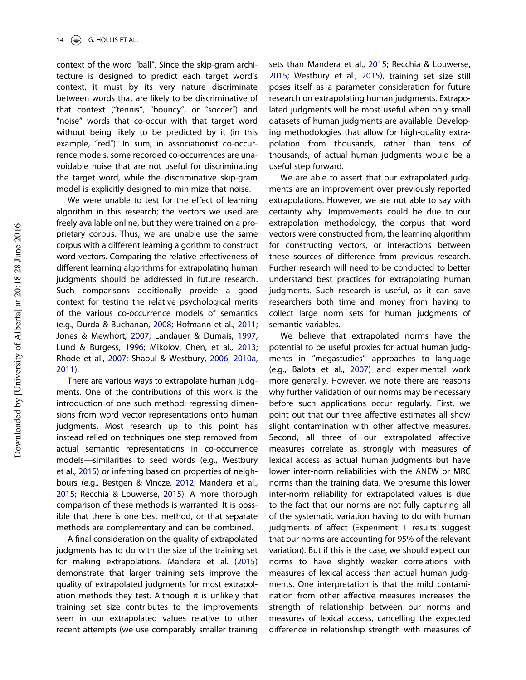context of the word "ball". Since the skip-gram architecture is designed to predict each target word's context, it must by its very nature discriminate between words that are likely to be discriminative of that context ("tennis", "bouncy", or "soccer") and "noise" words that co-occur with that target word without being likely to be predicted by it (in this example, "red"). In sum, in associationist co-occurrence models, some recorded co-occurrences are unavoidable noise that are not useful for discriminating the target word, while the discriminative skip-gram model is explicitly designed to minimize that noise.

We were unable to test for the effect of learning algorithm in this research; the vectors we used are freely available online, but they were trained on a proprietary corpus. Thus, we are unable use the same corpus with a different learning algorithm to construct word vectors. Comparing the relative effectiveness of different learning algorithms for extrapolating human judgments should be addressed in future research. Such comparisons additionally provide a good context for testing the relative psychological merits of the various co-occurrence models of semantics (e.g., Durda & Buchanan, 2008; Hofmann et al., 2011; Jones & Mewhort, 2007; Landauer & Dumais, 1997; Lund & Burgess, 1996; Mikolov, Chen, et al., 2013; Rhode et al., 2007; Shaoul & Westbury, 2006, 2010a, 2011).

There are various ways to extrapolate human judgments. One of the contributions of this work is the introduction of one such method: regressing dimensions from word vector representations onto human judgments. Most research up to this point has instead relied on techniques one step removed from actual semantic representations in co-occurrence models—similarities to seed words (e.g., Westbury et al., 2015) or inferring based on properties of neighbours (e.g., Bestgen & Vincze, 2012; Mandera et al., 2015; Recchia & Louwerse, 2015). A more thorough comparison of these methods is warranted. It is possible that there is one best method, or that separate methods are complementary and can be combined.

A final consideration on the quality of extrapolated judgments has to do with the size of the training set for making extrapolations. Mandera et al. (2015) demonstrate that larger training sets improve the quality of extrapolated judgments for most extrapolation methods they test. Although it is unlikely that training set size contributes to the improvements seen in our extrapolated values relative to other recent attempts (we use comparably smaller training

sets than Mandera et al., 2015; Recchia & Louwerse, 2015; Westbury et al., 2015), training set size still poses itself as a parameter consideration for future research on extrapolating human judgments. Extrapolated judgments will be most useful when only small datasets of human judgments are available. Developing methodologies that allow for high-quality extrapolation from thousands, rather than tens of thousands, of actual human judgments would be a useful step forward.

We are able to assert that our extrapolated judgments are an improvement over previously reported extrapolations. However, we are not able to say with certainty why. Improvements could be due to our extrapolation methodology, the corpus that word vectors were constructed from, the learning algorithm for constructing vectors, or interactions between these sources of difference from previous research. Further research will need to be conducted to better understand best practices for extrapolating human judgments. Such research is useful, as it can save researchers both time and money from having to collect large norm sets for human judgments of semantic variables.

We believe that extrapolated norms have the potential to be useful proxies for actual human judgments in "megastudies" approaches to language (e.g., Balota et al., 2007) and experimental work more generally. However, we note there are reasons why further validation of our norms may be necessary before such applications occur regularly. First, we point out that our three affective estimates all show slight contamination with other affective measures. Second, all three of our extrapolated affective measures correlate as strongly with measures of lexical access as actual human judgments but have lower inter-norm reliabilities with the ANEW or MRC norms than the training data. We presume this lower inter-norm reliability for extrapolated values is due to the fact that our norms are not fully capturing all of the systematic variation having to do with human judgments of affect (Experiment 1 results suggest that our norms are accounting for 95% of the relevant variation). But if this is the case, we should expect our norms to have slightly weaker correlations with measures of lexical access than actual human judgments. One interpretation is that the mild contamination from other affective measures increases the strength of relationship between our norms and measures of lexical access, cancelling the expected difference in relationship strength with measures of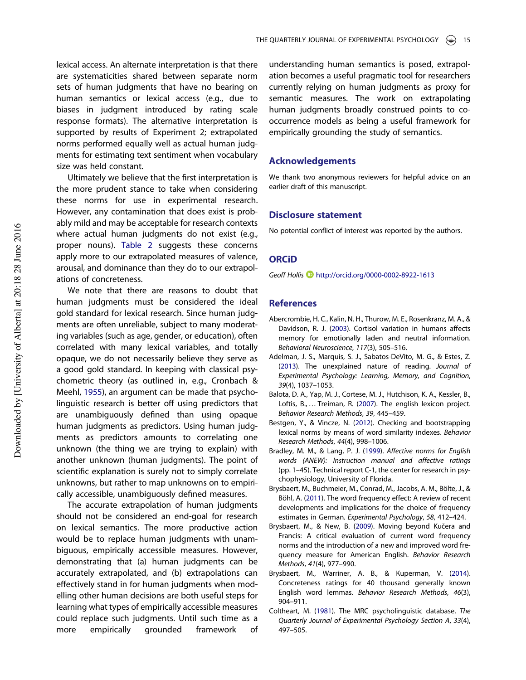lexical access. An alternate interpretation is that there are systematicities shared between separate norm sets of human judgments that have no bearing on human semantics or lexical access (e.g., due to biases in judgment introduced by rating scale response formats). The alternative interpretation is supported by results of Experiment 2; extrapolated norms performed equally well as actual human judgments for estimating text sentiment when vocabulary size was held constant.

Ultimately we believe that the first interpretation is the more prudent stance to take when considering these norms for use in experimental research. However, any contamination that does exist is probably mild and may be acceptable for research contexts where actual human judgments do not exist (e.g., proper nouns). Table 2 suggests these concerns apply more to our extrapolated measures of valence, arousal, and dominance than they do to our extrapolations of concreteness.

We note that there are reasons to doubt that human judgments must be considered the ideal gold standard for lexical research. Since human judgments are often unreliable, subject to many moderating variables (such as age, gender, or education), often correlated with many lexical variables, and totally opaque, we do not necessarily believe they serve as a good gold standard. In keeping with classical psychometric theory (as outlined in, e.g., Cronbach & Meehl, 1955), an argument can be made that psycholinguistic research is better off using predictors that are unambiguously defined than using opaque human judgments as predictors. Using human judgments as predictors amounts to correlating one unknown (the thing we are trying to explain) with another unknown (human judgments). The point of scientific explanation is surely not to simply correlate unknowns, but rather to map unknowns on to empirically accessible, unambiguously defined measures.

The accurate extrapolation of human judgments should not be considered an end-goal for research on lexical semantics. The more productive action would be to replace human judgments with unambiguous, empirically accessible measures. However, demonstrating that (a) human judgments can be accurately extrapolated, and (b) extrapolations can effectively stand in for human judgments when modelling other human decisions are both useful steps for learning what types of empirically accessible measures could replace such judgments. Until such time as a more empirically grounded framework of

understanding human semantics is posed, extrapolation becomes a useful pragmatic tool for researchers currently relying on human judgments as proxy for semantic measures. The work on extrapolating human judgments broadly construed points to cooccurrence models as being a useful framework for empirically grounding the study of semantics.

#### Acknowledgements

We thank two anonymous reviewers for helpful advice on an earlier draft of this manuscript.

#### Disclosure statement

No potential conflict of interest was reported by the authors.

# **ORCID**

Geoff Hollis D http://orcid.org/0000-0002-8922-1613

# **References**

- Abercrombie, H. C., Kalin, N. H., Thurow, M. E., Rosenkranz, M. A., & Davidson, R. J. (2003). Cortisol variation in humans affects memory for emotionally laden and neutral information. Behavioral Neuroscience, 117(3), 505–516.
- Adelman, J. S., Marquis, S. J., Sabatos-DeVito, M. G., & Estes, Z. (2013). The unexplained nature of reading. Journal of Experimental Psychology: Learning, Memory, and Cognition, 39(4), 1037–1053.
- Balota, D. A., Yap, M. J., Cortese, M. J., Hutchison, K. A., Kessler, B., Loftis, B., … Treiman, R. (2007). The english lexicon project. Behavior Research Methods, 39, 445–459.
- Bestgen, Y., & Vincze, N. (2012). Checking and bootstrapping lexical norms by means of word similarity indexes. Behavior Research Methods, 44(4), 998–1006.
- Bradley, M. M., & Lang, P. J. (1999). Affective norms for English words (ANEW): Instruction manual and affective ratings (pp. 1–45). Technical report C-1, the center for research in psychophysiology, University of Florida.
- Brysbaert, M., Buchmeier, M., Conrad, M., Jacobs, A. M., Bölte, J., & Böhl, A. (2011). The word frequency effect: A review of recent developments and implications for the choice of frequency estimates in German. Experimental Psychology, 58, 412–424.
- Brysbaert, M., & New, B. (2009). Moving beyond Kučera and Francis: A critical evaluation of current word frequency norms and the introduction of a new and improved word frequency measure for American English. Behavior Research Methods, 41(4), 977–990.
- Brysbaert, M., Warriner, A. B., & Kuperman, V. (2014). Concreteness ratings for 40 thousand generally known English word lemmas. Behavior Research Methods, 46(3), 904–911.
- Coltheart, M. (1981). The MRC psycholinguistic database. The Quarterly Journal of Experimental Psychology Section A, 33(4), 497–505.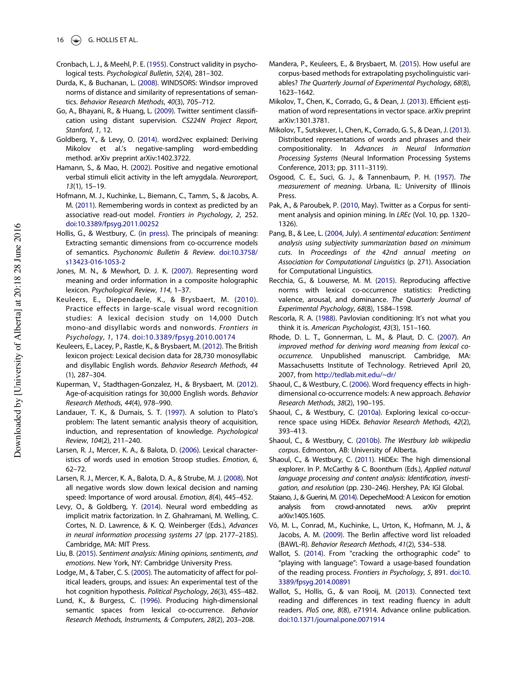- Cronbach, L. J., & Meehl, P. E. (1955). Construct validity in psychological tests. Psychological Bulletin, 52(4), 281–302.
- Durda, K., & Buchanan, L. (2008). WINDSORS: Windsor improved norms of distance and similarity of representations of semantics. Behavior Research Methods, 40(3), 705–712.
- Go, A., Bhayani, R., & Huang, L. (2009). Twitter sentiment classification using distant supervision. CS224N Project Report, Stanford, 1, 12.
- Goldberg, Y., & Levy, O. (2014). word2vec explained: Deriving Mikolov et al.'s negative-sampling word-embedding method. arXiv preprint arXiv:1402.3722.
- Hamann, S., & Mao, H. (2002). Positive and negative emotional verbal stimuli elicit activity in the left amygdala. Neuroreport, 13(1), 15–19.
- Hofmann, M. J., Kuchinke, L., Biemann, C., Tamm, S., & Jacobs, A. M. (2011). Remembering words in context as predicted by an associative read-out model. Frontiers in Psychology, 2, 252. doi:10.3389/fpsyg.2011.00252
- Hollis, G., & Westbury, C. (in press). The principals of meaning: Extracting semantic dimensions from co-occurrence models of semantics. Psychonomic Bulletin & Review. doi:10.3758/ s13423-016-1053-2
- Jones, M. N., & Mewhort, D. J. K. (2007). Representing word meaning and order information in a composite holographic lexicon. Psychological Review, 114, 1–37.
- Keuleers, E., Diependaele, K., & Brysbaert, M. (2010). Practice effects in large-scale visual word recognition studies: A lexical decision study on 14,000 Dutch mono-and disyllabic words and nonwords. Frontiers in Psychology, 1, 174. doi:10.3389/fpsyg.2010.00174
- Keuleers, E., Lacey, P., Rastle, K., & Brysbaert, M. (2012). The British lexicon project: Lexical decision data for 28,730 monosyllabic and disyllabic English words. Behavior Research Methods, 44 (1), 287–304.
- Kuperman, V., Stadthagen-Gonzalez, H., & Brysbaert, M. (2012). Age-of-acquisition ratings for 30,000 English words. Behavior Research Methods, 44(4), 978–990.
- Landauer, T. K., & Dumais, S. T. (1997). A solution to Plato's problem: The latent semantic analysis theory of acquisition, induction, and representation of knowledge. Psychological Review, 104(2), 211–240.
- Larsen, R. J., Mercer, K. A., & Balota, D. (2006). Lexical characteristics of words used in emotion Stroop studies. Emotion, 6, 62–72.
- Larsen, R. J., Mercer, K. A., Balota, D. A., & Strube, M. J. (2008). Not all negative words slow down lexical decision and naming speed: Importance of word arousal. Emotion, 8(4), 445–452.
- Levy, O., & Goldberg, Y. (2014). Neural word embedding as implicit matrix factorization. In Z. Ghahramani, M. Welling, C. Cortes, N. D. Lawrence, & K. Q. Weinberger (Eds.), Advances in neural information processing systems 27 (pp. 2177–2185). Cambridge, MA: MIT Press.
- Liu, B. (2015). Sentiment analysis: Mining opinions, sentiments, and emotions. New York, NY: Cambridge University Press.
- Lodge, M., & Taber, C. S. (2005). The automaticity of affect for political leaders, groups, and issues: An experimental test of the hot cognition hypothesis. Political Psychology, 26(3), 455–482.
- Lund, K., & Burgess, C. (1996). Producing high-dimensional semantic spaces from lexical co-occurrence. Behavior Research Methods, Instruments, & Computers, 28(2), 203–208.
- Mandera, P., Keuleers, E., & Brysbaert, M. (2015). How useful are corpus-based methods for extrapolating psycholinguistic variables? The Quarterly Journal of Experimental Psychology, 68(8), 1623–1642.
- Mikolov, T., Chen, K., Corrado, G., & Dean, J. (2013). Efficient estimation of word representations in vector space. arXiv preprint arXiv:1301.3781.
- Mikolov, T., Sutskever, I., Chen, K., Corrado, G. S., & Dean, J. (2013). Distributed representations of words and phrases and their compositionality. In Advances in Neural Information Processing Systems (Neural Information Processing Systems Conference, 2013; pp. 3111–3119).
- Osgood, C. E., Suci, G. J., & Tannenbaum, P. H. (1957). The measurement of meaning. Urbana, IL: University of Illinois Press.
- Pak, A., & Paroubek, P. (2010, May). Twitter as a Corpus for sentiment analysis and opinion mining. In LREc (Vol. 10, pp. 1320– 1326).
- Pang, B., & Lee, L. (2004, July). A sentimental education: Sentiment analysis using subjectivity summarization based on minimum cuts. In Proceedings of the 42nd annual meeting on Association for Computational Linguistics (p. 271). Association for Computational Linguistics.
- Recchia, G., & Louwerse, M. M. (2015). Reproducing affective norms with lexical co-occurrence statistics: Predicting valence, arousal, and dominance. The Quarterly Journal of Experimental Psychology, 68(8), 1584–1598.
- Rescorla, R. A. (1988). Pavlovian conditioning: It's not what you think it is. American Psychologist, 43(3), 151–160.
- Rhode, D. L. T., Gonnerman, L. M., & Plaut, D. C. (2007). An improved method for deriving word meaning from lexical cooccurrence. Unpublished manuscript. Cambridge, MA: Massachusetts Institute of Technology. Retrieved April 20, 2007, from http://tedlab.mit.edu/~dr/
- Shaoul, C., & Westbury, C. (2006). Word frequency effects in highdimensional co-occurrence models: A new approach. Behavior Research Methods, 38(2), 190–195.
- Shaoul, C., & Westbury, C. (2010a). Exploring lexical co-occurrence space using HiDEx. Behavior Research Methods, 42(2), 393–413.
- Shaoul, C., & Westbury, C. (2010b). The Westbury lab wikipedia corpus. Edmonton, AB: University of Alberta.
- Shaoul, C., & Westbury, C. (2011). HiDEx: The high dimensional explorer. In P. McCarthy & C. Boonthum (Eds.), Applied natural language processing and content analysis: Identification, investigation, and resolution (pp. 230–246). Hershey, PA: IGI Global.
- Staiano, J., & Guerini, M. (2014). DepecheMood: A Lexicon for emotion analysis from crowd-annotated news. arXiv preprint arXiv:1405.1605.
- Võ, M. L., Conrad, M., Kuchinke, L., Urton, K., Hofmann, M. J., & Jacobs, A. M. (2009). The Berlin affective word list reloaded (BAWL-R). Behavior Research Methods, 41(2), 534–538.
- Wallot, S. (2014). From "cracking the orthographic code" to "playing with language": Toward a usage-based foundation of the reading process. Frontiers in Psychology, 5, 891. doi:10. 3389/fpsyg.2014.00891
- Wallot, S., Hollis, G., & van Rooij, M. (2013). Connected text reading and differences in text reading fluency in adult readers. PloS one, 8(8), e71914. Advance online publication. doi:10.1371/journal.pone.0071914